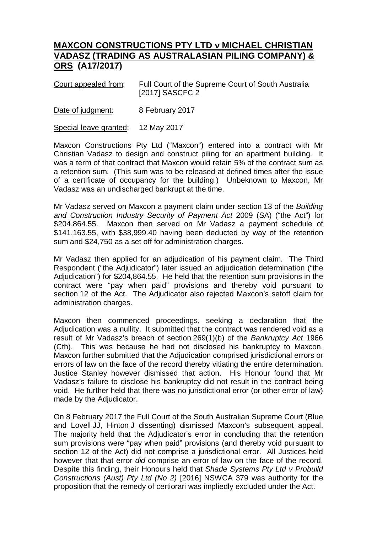## **MAXCON CONSTRUCTIONS PTY LTD v MICHAEL CHRISTIAN VADASZ (TRADING AS AUSTRALASIAN PILING COMPANY) & ORS (A17/2017)**

Court appealed from: Full Court of the Supreme Court of South Australia [2017] SASCFC 2

Date of judgment: 8 February 2017

Special leave granted: 12 May 2017

Maxcon Constructions Pty Ltd ("Maxcon") entered into a contract with Mr Christian Vadasz to design and construct piling for an apartment building. It was a term of that contract that Maxcon would retain 5% of the contract sum as a retention sum. (This sum was to be released at defined times after the issue of a certificate of occupancy for the building.) Unbeknown to Maxcon, Mr Vadasz was an undischarged bankrupt at the time.

Mr Vadasz served on Maxcon a payment claim under section 13 of the *Building and Construction Industry Security of Payment Act* 2009 (SA) ("the Act") for \$204,864.55. Maxcon then served on Mr Vadasz a payment schedule of \$141,163.55, with \$38,999.40 having been deducted by way of the retention sum and \$24,750 as a set off for administration charges.

Mr Vadasz then applied for an adjudication of his payment claim. The Third Respondent ("the Adjudicator") later issued an adjudication determination ("the Adjudication") for \$204,864.55. He held that the retention sum provisions in the contract were "pay when paid" provisions and thereby void pursuant to section 12 of the Act. The Adjudicator also rejected Maxcon's setoff claim for administration charges.

Maxcon then commenced proceedings, seeking a declaration that the Adjudication was a nullity. It submitted that the contract was rendered void as a result of Mr Vadasz's breach of section 269(1)(b) of the *Bankruptcy Act* 1966 (Cth). This was because he had not disclosed his bankruptcy to Maxcon. Maxcon further submitted that the Adjudication comprised jurisdictional errors or errors of law on the face of the record thereby vitiating the entire determination. Justice Stanley however dismissed that action. His Honour found that Mr Vadasz's failure to disclose his bankruptcy did not result in the contract being void. He further held that there was no jurisdictional error (or other error of law) made by the Adjudicator.

On 8 February 2017 the Full Court of the South Australian Supreme Court (Blue and Lovell JJ, Hinton J dissenting) dismissed Maxcon's subsequent appeal. The majority held that the Adjudicator's error in concluding that the retention sum provisions were "pay when paid" provisions (and thereby void pursuant to section 12 of the Act) did not comprise a jurisdictional error. All Justices held however that that error *did* comprise an error of law on the face of the record. Despite this finding, their Honours held that *Shade Systems Pty Ltd v Probuild Constructions (Aust) Pty Ltd (No 2)* [2016] NSWCA 379 was authority for the proposition that the remedy of certiorari was impliedly excluded under the Act.